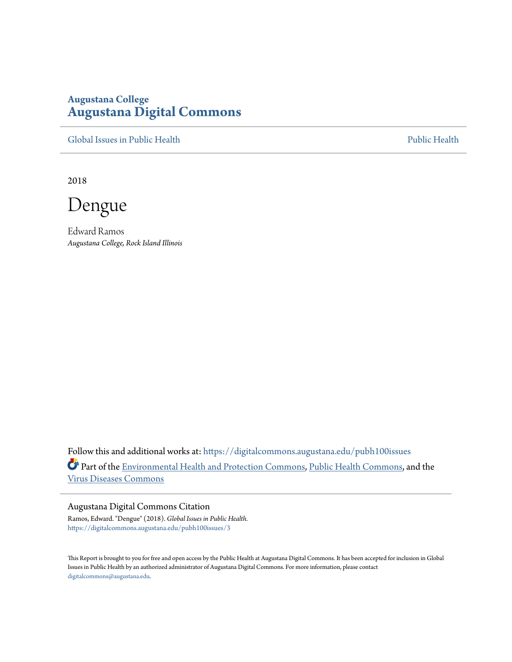# **Augustana College [Augustana Digital Commons](https://digitalcommons.augustana.edu?utm_source=digitalcommons.augustana.edu%2Fpubh100issues%2F3&utm_medium=PDF&utm_campaign=PDFCoverPages)**

[Global Issues in Public Health](https://digitalcommons.augustana.edu/pubh100issues?utm_source=digitalcommons.augustana.edu%2Fpubh100issues%2F3&utm_medium=PDF&utm_campaign=PDFCoverPages) [Public Health](https://digitalcommons.augustana.edu/publichealth?utm_source=digitalcommons.augustana.edu%2Fpubh100issues%2F3&utm_medium=PDF&utm_campaign=PDFCoverPages) Public Health Public Health Public Health

2018

Dengue

Edward Ramos *Augustana College, Rock Island Illinois*

Follow this and additional works at: [https://digitalcommons.augustana.edu/pubh100issues](https://digitalcommons.augustana.edu/pubh100issues?utm_source=digitalcommons.augustana.edu%2Fpubh100issues%2F3&utm_medium=PDF&utm_campaign=PDFCoverPages) Part of the [Environmental Health and Protection Commons,](http://network.bepress.com/hgg/discipline/172?utm_source=digitalcommons.augustana.edu%2Fpubh100issues%2F3&utm_medium=PDF&utm_campaign=PDFCoverPages) [Public Health Commons](http://network.bepress.com/hgg/discipline/738?utm_source=digitalcommons.augustana.edu%2Fpubh100issues%2F3&utm_medium=PDF&utm_campaign=PDFCoverPages), and the [Virus Diseases Commons](http://network.bepress.com/hgg/discipline/998?utm_source=digitalcommons.augustana.edu%2Fpubh100issues%2F3&utm_medium=PDF&utm_campaign=PDFCoverPages)

## Augustana Digital Commons Citation

Ramos, Edward. "Dengue" (2018). *Global Issues in Public Health.* [https://digitalcommons.augustana.edu/pubh100issues/3](https://digitalcommons.augustana.edu/pubh100issues/3?utm_source=digitalcommons.augustana.edu%2Fpubh100issues%2F3&utm_medium=PDF&utm_campaign=PDFCoverPages)

This Report is brought to you for free and open access by the Public Health at Augustana Digital Commons. It has been accepted for inclusion in Global Issues in Public Health by an authorized administrator of Augustana Digital Commons. For more information, please contact [digitalcommons@augustana.edu.](mailto:digitalcommons@augustana.edu)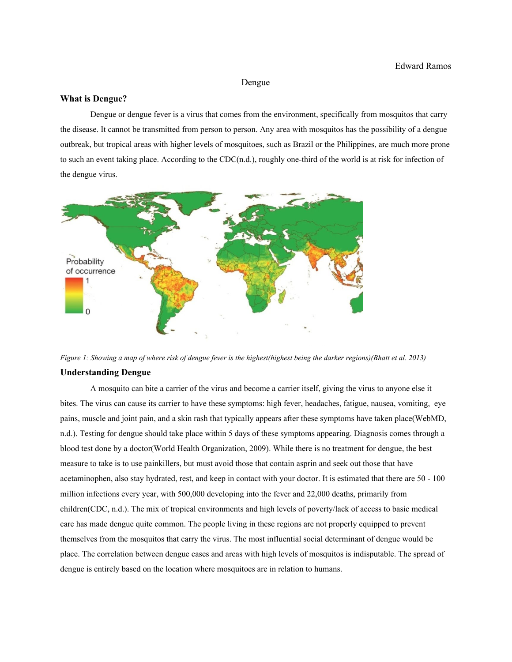#### Dengue

#### **What is Dengue?**

Dengue or dengue fever is a virus that comes from the environment, specifically from mosquitos that carry the disease. It cannot be transmitted from person to person. Any area with mosquitos has the possibility of a dengue outbreak, but tropical areas with higher levels of mosquitoes, such as Brazil or the Philippines, are much more prone to such an event taking place. According to the CDC(n.d.), roughly one-third of the world is at risk for infection of the dengue virus.



*Figure 1: Showing a map of where risk of dengue fever is the highest(highest being the darker regions)(Bhatt et al. 2013)*

### **Understanding Dengue**

A mosquito can bite a carrier of the virus and become a carrier itself, giving the virus to anyone else it bites. The virus can cause its carrier to have these symptoms: high fever, headaches, fatigue, nausea, vomiting, eye pains, muscle and joint pain, and a skin rash that typically appears after these symptoms have taken place(WebMD, n.d.). Testing for dengue should take place within 5 days of these symptoms appearing. Diagnosis comes through a blood test done by a doctor(World Health Organization, 2009). While there is no treatment for dengue, the best measure to take is to use painkillers, but must avoid those that contain asprin and seek out those that have acetaminophen, also stay hydrated, rest, and keep in contact with your doctor. It is estimated that there are 50 - 100 million infections every year, with 500,000 developing into the fever and 22,000 deaths, primarily from children(CDC, n.d.). The mix of tropical environments and high levels of poverty/lack of access to basic medical care has made dengue quite common. The people living in these regions are not properly equipped to prevent themselves from the mosquitos that carry the virus. The most influential social determinant of dengue would be place. The correlation between dengue cases and areas with high levels of mosquitos is indisputable. The spread of dengue is entirely based on the location where mosquitoes are in relation to humans.